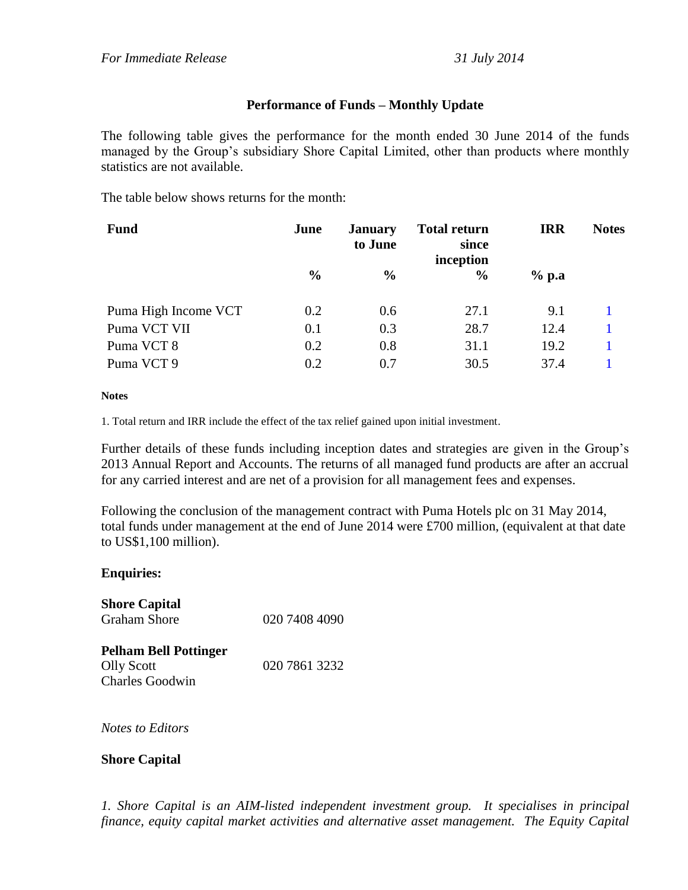## **Performance of Funds – Monthly Update**

The following table gives the performance for the month ended 30 June 2014 of the funds managed by the Group's subsidiary Shore Capital Limited, other than products where monthly statistics are not available.

The table below shows returns for the month:

| <b>Fund</b>          | June          | <b>January</b><br>to June | <b>Total return</b><br>since<br>inception | <b>IRR</b> | <b>Notes</b> |
|----------------------|---------------|---------------------------|-------------------------------------------|------------|--------------|
|                      | $\frac{0}{0}$ | $\frac{6}{6}$             | $\frac{6}{9}$                             | $%$ p.a    |              |
| Puma High Income VCT | 0.2           | 0.6                       | 27.1                                      | 9.1        |              |
| Puma VCT VII         | 0.1           | 0.3                       | 28.7                                      | 12.4       |              |
| Puma VCT 8           | 0.2           | 0.8                       | 31.1                                      | 19.2       |              |
| Puma VCT 9           | 0.2           | 0.7                       | 30.5                                      | 37.4       |              |

## **Notes**

1. Total return and IRR include the effect of the tax relief gained upon initial investment.

Further details of these funds including inception dates and strategies are given in the Group's 2013 Annual Report and Accounts. The returns of all managed fund products are after an accrual for any carried interest and are net of a provision for all management fees and expenses.

Following the conclusion of the management contract with Puma Hotels plc on 31 May 2014, total funds under management at the end of June 2014 were £700 million, (equivalent at that date to US\$1,100 million).

## **Enquiries:**

| <b>Shore Capital</b> |               |
|----------------------|---------------|
| Graham Shore         | 020 7408 4090 |
|                      |               |

**Pelham Bell Pottinger** Olly Scott 020 7861 3232 Charles Goodwin

*Notes to Editors*

## **Shore Capital**

*1. Shore Capital is an AIM-listed independent investment group. It specialises in principal finance, equity capital market activities and alternative asset management. The Equity Capital*